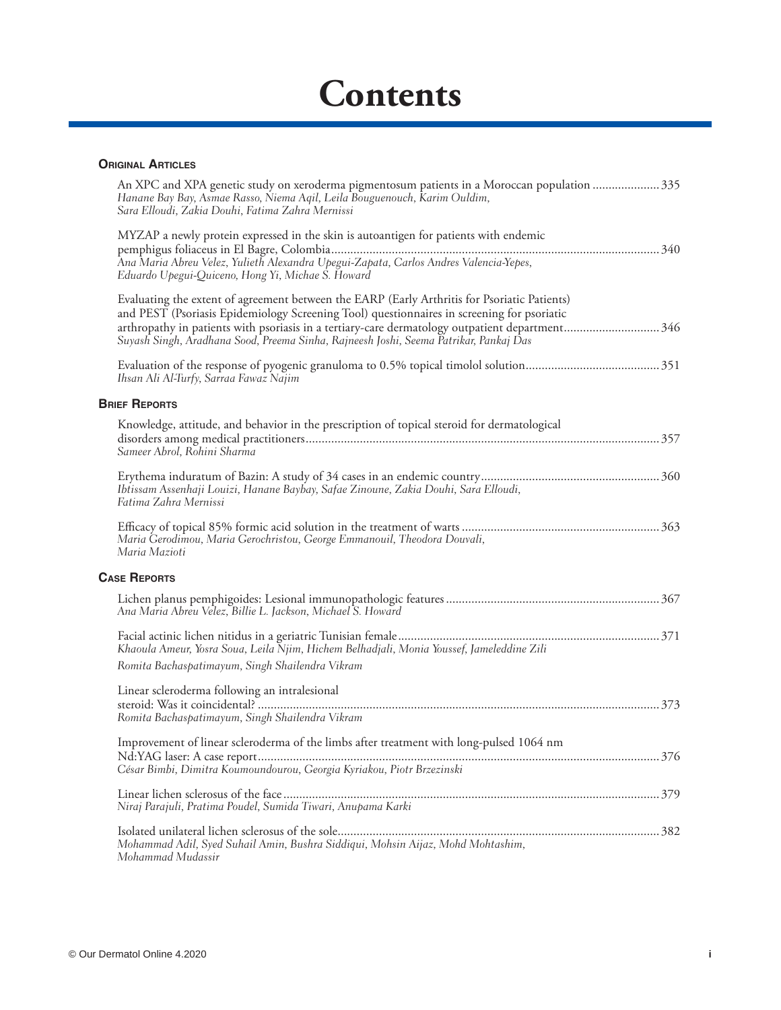## **Contents**

## **ORIGINAL ARTICLES**

| An XPC and XPA genetic study on xeroderma pigmentosum patients in a Moroccan population 335<br>Hanane Bay Bay, Asmae Rasso, Niema Aqil, Leila Bouguenouch, Karim Ouldim,<br>Sara Elloudi, Zakia Douhi, Fatima Zahra Mernissi                                                                                                                                                          |  |
|---------------------------------------------------------------------------------------------------------------------------------------------------------------------------------------------------------------------------------------------------------------------------------------------------------------------------------------------------------------------------------------|--|
| MYZAP a newly protein expressed in the skin is autoantigen for patients with endemic<br>Ana Maria Abreu Velez, Yulieth Alexandra Upegui-Zapata, Carlos Andres Valencia-Yepes,<br>Eduardo Upegui-Quiceno, Hong Yi, Michae S. Howard                                                                                                                                                    |  |
| Evaluating the extent of agreement between the EARP (Early Arthritis for Psoriatic Patients)<br>and PEST (Psoriasis Epidemiology Screening Tool) questionnaires in screening for psoriatic<br>arthropathy in patients with psoriasis in a tertiary-care dermatology outpatient department346<br>Suyash Singh, Aradhana Sood, Preema Sinha, Rajneesh Joshi, Seema Patrikar, Pankaj Das |  |
| Ihsan Ali Al-Turfy, Sarraa Fawaz Najim                                                                                                                                                                                                                                                                                                                                                |  |
| <b>BRIEF REPORTS</b>                                                                                                                                                                                                                                                                                                                                                                  |  |
| Knowledge, attitude, and behavior in the prescription of topical steroid for dermatological<br>Sameer Abrol, Rohini Sharma                                                                                                                                                                                                                                                            |  |
| Ibtissam Assenhaji Louizi, Hanane Baybay, Safae Zinoune, Zakia Douhi, Sara Elloudi,<br>Fatima Zahra Mernissi                                                                                                                                                                                                                                                                          |  |
| Maria Gerodimou, Maria Gerochristou, George Emmanouil, Theodora Douvali,<br>Maria Mazioti                                                                                                                                                                                                                                                                                             |  |
| <b>CASE REPORTS</b>                                                                                                                                                                                                                                                                                                                                                                   |  |
| Ana Maria Abreu Velez, Billie L. Jackson, Michael S. Howard                                                                                                                                                                                                                                                                                                                           |  |
| Khaoula Ameur, Yosra Soua, Leila Njim, Hichem Belhadjali, Monia Youssef, Jameleddine Zili<br>Romita Bachaspatimayum, Singh Shailendra Vikram                                                                                                                                                                                                                                          |  |
| Linear scleroderma following an intralesional<br>Romita Bachaspatimayum, Singh Shailendra Vikram                                                                                                                                                                                                                                                                                      |  |
| Improvement of linear scleroderma of the limbs after treatment with long-pulsed 1064 nm<br>César Bimbi, Dimitra Koumoundourou, Georgia Kyriakou, Piotr Brzezinski                                                                                                                                                                                                                     |  |
| Niraj Parajuli, Pratima Poudel, Sumida Tiwari, Anupama Karki                                                                                                                                                                                                                                                                                                                          |  |
| Mohammad Adil, Syed Suhail Amin, Bushra Siddiqui, Mohsin Aijaz, Mohd Mohtashim,<br>Mohammad Mudassir                                                                                                                                                                                                                                                                                  |  |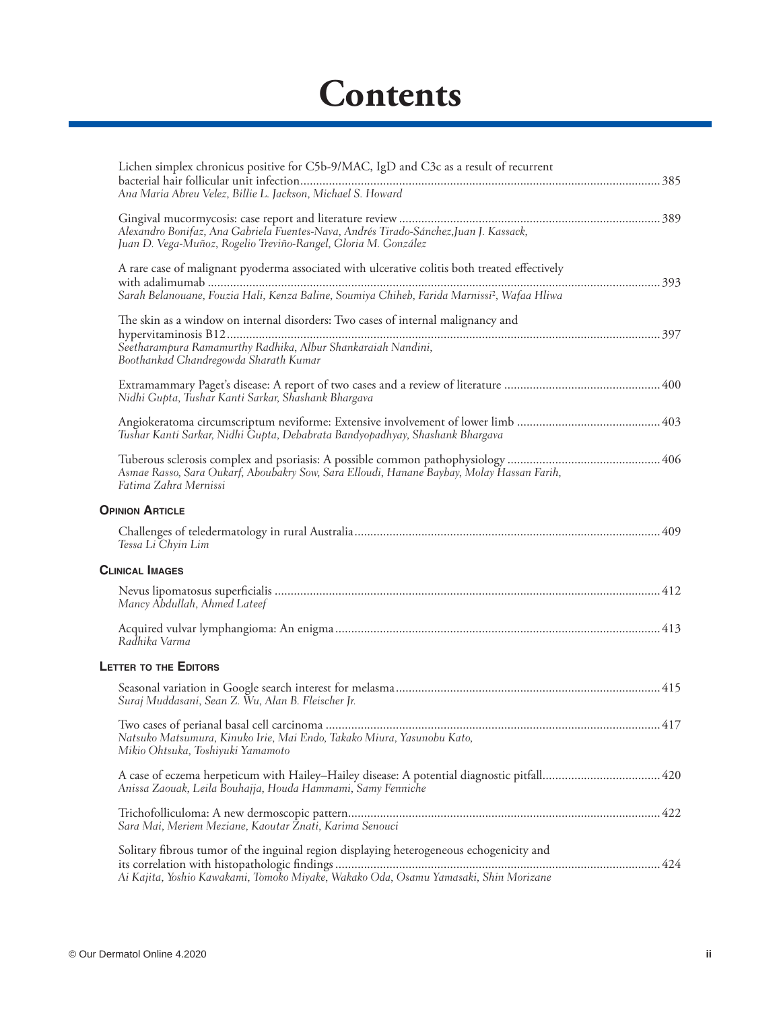## **Contents**

| Lichen simplex chronicus positive for C5b-9/MAC, IgD and C3c as a result of recurrent<br>Ana Maria Abreu Velez, Billie L. Jackson, Michael S. Howard                                                     |
|----------------------------------------------------------------------------------------------------------------------------------------------------------------------------------------------------------|
| Alexandro Bonifaz, Ana Gabriela Fuentes-Nava, Andrés Tirado-Sánchez, Juan J. Kassack,<br>Juan D. Vega-Muñoz, Rogelio Treviño-Rangel, Gloria M. González                                                  |
| A rare case of malignant pyoderma associated with ulcerative colitis both treated effectively<br>Sarah Belanouane, Fouzia Hali, Kenza Baline, Soumiya Chiheb, Farida Marnissi <sup>2</sup> , Wafaa Hliwa |
| The skin as a window on internal disorders: Two cases of internal malignancy and<br>Seetharampura Ramamurthy Radhika, Albur Shankaraiah Nandini,<br>Boothankad Chandregowda Sharath Kumar                |
| Nidhi Gupta, Tushar Kanti Sarkar, Shashank Bhargava                                                                                                                                                      |
| Tushar Kanti Sarkar, Nidhi Gupta, Debabrata Bandyopadhyay, Shashank Bhargava                                                                                                                             |
| Asmae Rasso, Sara Oukarf, Aboubakry Sow, Sara Elloudi, Hanane Baybay, Molay Hassan Farih,<br>Fatima Zahra Mernissi                                                                                       |
| <b>OPINION ARTICLE</b>                                                                                                                                                                                   |
| Tessa Li Chyin Lim                                                                                                                                                                                       |
| <b>CLINICAL IMAGES</b>                                                                                                                                                                                   |
| Mancy Abdullah, Ahmed Lateef                                                                                                                                                                             |
| Radhika Varma                                                                                                                                                                                            |
| <b>LETTER TO THE EDITORS</b>                                                                                                                                                                             |
| Suraj Muddasani, Sean Z. Wu, Alan B. Fleischer Jr.                                                                                                                                                       |
| Natsuko Matsumura, Kinuko Irie, Mai Endo, Takako Miura, Yasunobu Kato,<br>Mikio Ohtsuka, Toshiyuki Yamamoto                                                                                              |
| Anissa Zaouak, Leila Bouhajja, Houda Hammami, Samy Fenniche                                                                                                                                              |
| Sara Mai, Meriem Meziane, Kaoutar Żnati, Karima Senouci                                                                                                                                                  |
| Solitary fibrous tumor of the inguinal region displaying heterogeneous echogenicity and<br>Ai Kajita, Yoshio Kawakami, Tomoko Miyake, Wakako Oda, Osamu Yamasaki, Shin Morizane                          |